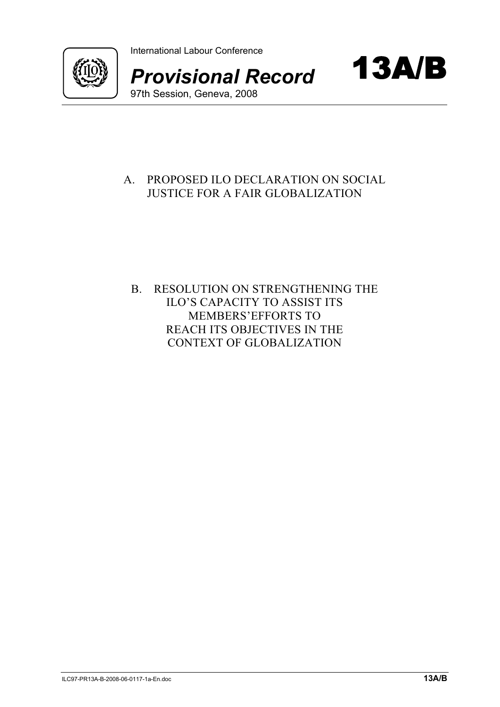



*Provisional Record* 13A/B 97th Session, Geneva, 2008



A. PROPOSED ILO DECLARATION ON SOCIAL JUSTICE FOR A FAIR GLOBALIZATION

# B. RESOLUTION ON STRENGTHENING THE ILO'S CAPACITY TO ASSIST ITS MEMBERS'EFFORTS TO REACH ITS OBJECTIVES IN THE CONTEXT OF GLOBALIZATION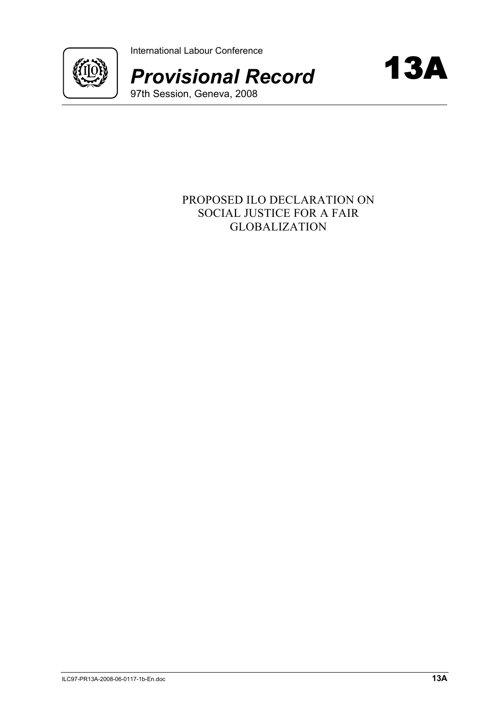

International Labour Conference

*Provisional Record* 13A 97th Session, Geneva, 2008



PROPOSED ILO DECLARATION ON SOCIAL JUSTICE FOR A FAIR GLOBALIZATION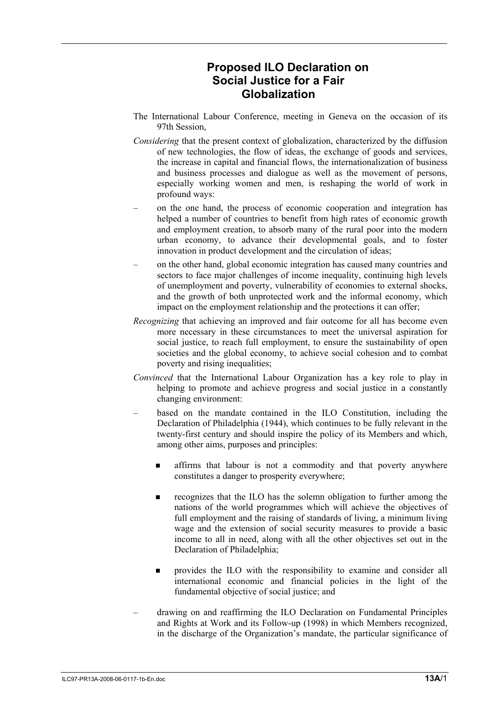## **Proposed ILO Declaration on Social Justice for a Fair Globalization**

- The International Labour Conference, meeting in Geneva on the occasion of its 97th Session,
- *Considering* that the present context of globalization, characterized by the diffusion of new technologies, the flow of ideas, the exchange of goods and services, the increase in capital and financial flows, the internationalization of business and business processes and dialogue as well as the movement of persons, especially working women and men, is reshaping the world of work in profound ways:
- on the one hand, the process of economic cooperation and integration has helped a number of countries to benefit from high rates of economic growth and employment creation, to absorb many of the rural poor into the modern urban economy, to advance their developmental goals, and to foster innovation in product development and the circulation of ideas;
- on the other hand, global economic integration has caused many countries and sectors to face major challenges of income inequality, continuing high levels of unemployment and poverty, vulnerability of economies to external shocks, and the growth of both unprotected work and the informal economy, which impact on the employment relationship and the protections it can offer;
- *Recognizing* that achieving an improved and fair outcome for all has become even more necessary in these circumstances to meet the universal aspiration for social justice, to reach full employment, to ensure the sustainability of open societies and the global economy, to achieve social cohesion and to combat poverty and rising inequalities;
- *Convinced* that the International Labour Organization has a key role to play in helping to promote and achieve progress and social justice in a constantly changing environment:
- based on the mandate contained in the ILO Constitution, including the Declaration of Philadelphia (1944), which continues to be fully relevant in the twenty-first century and should inspire the policy of its Members and which, among other aims, purposes and principles:
	- **a** affirms that labour is not a commodity and that poverty anywhere constitutes a danger to prosperity everywhere;
	- **recognizes that the ILO has the solemn obligation to further among the** nations of the world programmes which will achieve the objectives of full employment and the raising of standards of living, a minimum living wage and the extension of social security measures to provide a basic income to all in need, along with all the other objectives set out in the Declaration of Philadelphia;
	- **n** provides the ILO with the responsibility to examine and consider all international economic and financial policies in the light of the fundamental objective of social justice; and
- drawing on and reaffirming the ILO Declaration on Fundamental Principles and Rights at Work and its Follow-up (1998) in which Members recognized, in the discharge of the Organization's mandate, the particular significance of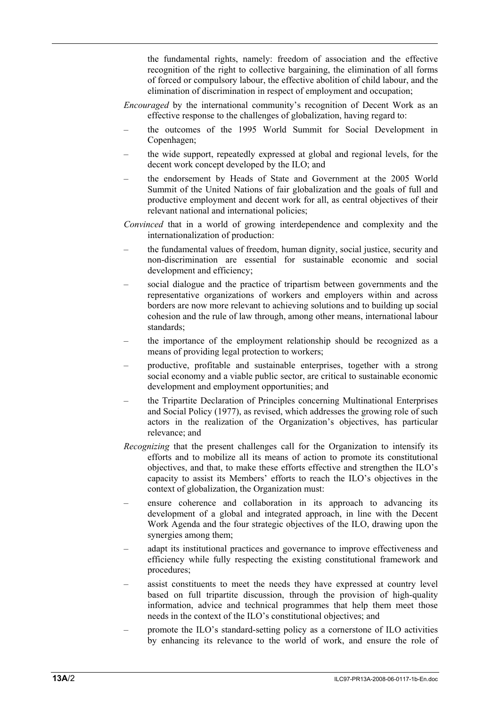the fundamental rights, namely: freedom of association and the effective recognition of the right to collective bargaining, the elimination of all forms of forced or compulsory labour, the effective abolition of child labour, and the elimination of discrimination in respect of employment and occupation;

- *Encouraged* by the international community's recognition of Decent Work as an effective response to the challenges of globalization, having regard to:
- the outcomes of the 1995 World Summit for Social Development in Copenhagen;
- the wide support, repeatedly expressed at global and regional levels, for the decent work concept developed by the ILO; and
- the endorsement by Heads of State and Government at the 2005 World Summit of the United Nations of fair globalization and the goals of full and productive employment and decent work for all, as central objectives of their relevant national and international policies;
- *Convinced* that in a world of growing interdependence and complexity and the internationalization of production:
- the fundamental values of freedom, human dignity, social justice, security and non-discrimination are essential for sustainable economic and social development and efficiency;
- social dialogue and the practice of tripartism between governments and the representative organizations of workers and employers within and across borders are now more relevant to achieving solutions and to building up social cohesion and the rule of law through, among other means, international labour standards;
- the importance of the employment relationship should be recognized as a means of providing legal protection to workers;
- productive, profitable and sustainable enterprises, together with a strong social economy and a viable public sector, are critical to sustainable economic development and employment opportunities; and
- the Tripartite Declaration of Principles concerning Multinational Enterprises and Social Policy (1977), as revised, which addresses the growing role of such actors in the realization of the Organization's objectives, has particular relevance; and
- *Recognizing* that the present challenges call for the Organization to intensify its efforts and to mobilize all its means of action to promote its constitutional objectives, and that, to make these efforts effective and strengthen the ILO's capacity to assist its Members' efforts to reach the ILO's objectives in the context of globalization, the Organization must:
- ensure coherence and collaboration in its approach to advancing its development of a global and integrated approach, in line with the Decent Work Agenda and the four strategic objectives of the ILO, drawing upon the synergies among them;
- adapt its institutional practices and governance to improve effectiveness and efficiency while fully respecting the existing constitutional framework and procedures;
- assist constituents to meet the needs they have expressed at country level based on full tripartite discussion, through the provision of high-quality information, advice and technical programmes that help them meet those needs in the context of the ILO's constitutional objectives; and
- promote the ILO's standard-setting policy as a cornerstone of ILO activities by enhancing its relevance to the world of work, and ensure the role of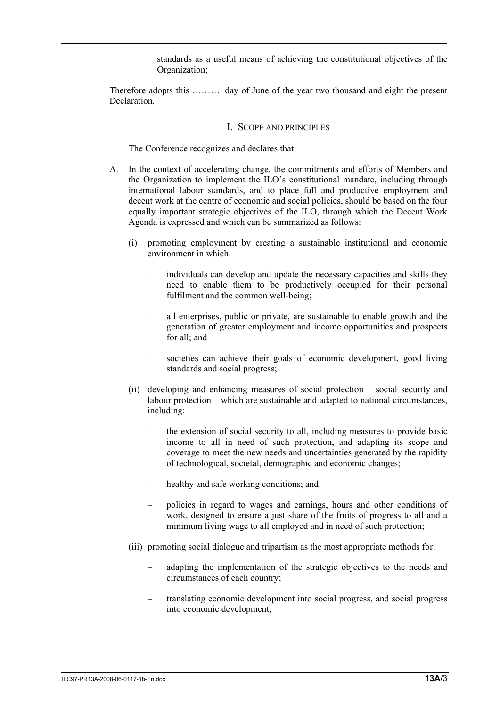standards as a useful means of achieving the constitutional objectives of the Organization;

Therefore adopts this ………. day of June of the year two thousand and eight the present **Declaration** 

#### I. SCOPE AND PRINCIPLES

The Conference recognizes and declares that:

- A. In the context of accelerating change, the commitments and efforts of Members and the Organization to implement the ILO's constitutional mandate, including through international labour standards, and to place full and productive employment and decent work at the centre of economic and social policies, should be based on the four equally important strategic objectives of the ILO, through which the Decent Work Agenda is expressed and which can be summarized as follows:
	- (i) promoting employment by creating a sustainable institutional and economic environment in which:
		- individuals can develop and update the necessary capacities and skills they need to enable them to be productively occupied for their personal fulfilment and the common well-being;
		- all enterprises, public or private, are sustainable to enable growth and the generation of greater employment and income opportunities and prospects for all; and
		- societies can achieve their goals of economic development, good living standards and social progress;
	- (ii) developing and enhancing measures of social protection social security and labour protection – which are sustainable and adapted to national circumstances, including:
		- the extension of social security to all, including measures to provide basic income to all in need of such protection, and adapting its scope and coverage to meet the new needs and uncertainties generated by the rapidity of technological, societal, demographic and economic changes;
		- healthy and safe working conditions; and
		- policies in regard to wages and earnings, hours and other conditions of work, designed to ensure a just share of the fruits of progress to all and a minimum living wage to all employed and in need of such protection;
	- (iii) promoting social dialogue and tripartism as the most appropriate methods for:
		- adapting the implementation of the strategic objectives to the needs and circumstances of each country;
		- translating economic development into social progress, and social progress into economic development;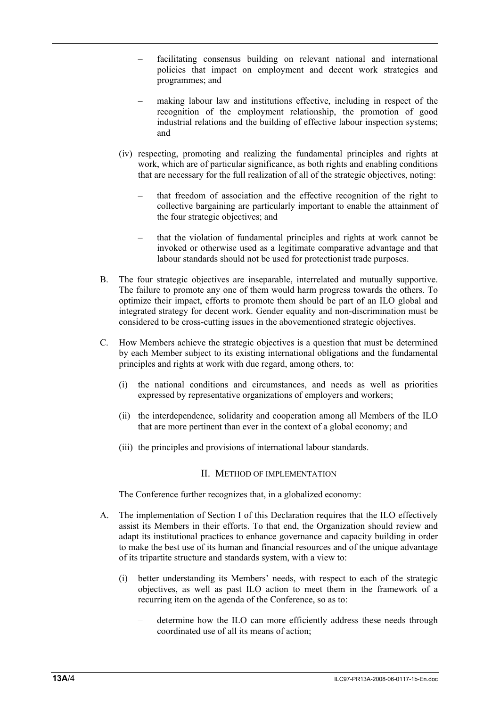- facilitating consensus building on relevant national and international policies that impact on employment and decent work strategies and programmes; and
- making labour law and institutions effective, including in respect of the recognition of the employment relationship, the promotion of good industrial relations and the building of effective labour inspection systems; and
- (iv) respecting, promoting and realizing the fundamental principles and rights at work, which are of particular significance, as both rights and enabling conditions that are necessary for the full realization of all of the strategic objectives, noting:
	- that freedom of association and the effective recognition of the right to collective bargaining are particularly important to enable the attainment of the four strategic objectives; and
	- that the violation of fundamental principles and rights at work cannot be invoked or otherwise used as a legitimate comparative advantage and that labour standards should not be used for protectionist trade purposes.
- B. The four strategic objectives are inseparable, interrelated and mutually supportive. The failure to promote any one of them would harm progress towards the others. To optimize their impact, efforts to promote them should be part of an ILO global and integrated strategy for decent work. Gender equality and non-discrimination must be considered to be cross-cutting issues in the abovementioned strategic objectives.
- C. How Members achieve the strategic objectives is a question that must be determined by each Member subject to its existing international obligations and the fundamental principles and rights at work with due regard, among others, to:
	- (i) the national conditions and circumstances, and needs as well as priorities expressed by representative organizations of employers and workers;
	- (ii) the interdependence, solidarity and cooperation among all Members of the ILO that are more pertinent than ever in the context of a global economy; and
	- (iii) the principles and provisions of international labour standards.

#### II. METHOD OF IMPLEMENTATION

The Conference further recognizes that, in a globalized economy:

- A. The implementation of Section I of this Declaration requires that the ILO effectively assist its Members in their efforts. To that end, the Organization should review and adapt its institutional practices to enhance governance and capacity building in order to make the best use of its human and financial resources and of the unique advantage of its tripartite structure and standards system, with a view to:
	- (i) better understanding its Members' needs, with respect to each of the strategic objectives, as well as past ILO action to meet them in the framework of a recurring item on the agenda of the Conference, so as to:
		- determine how the ILO can more efficiently address these needs through coordinated use of all its means of action;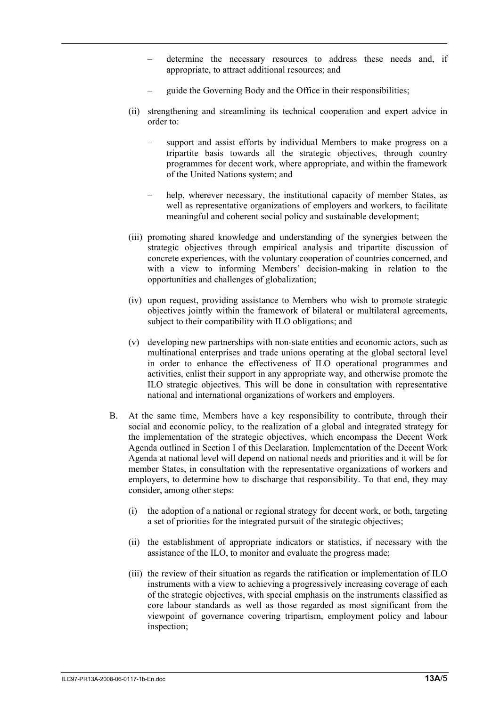- determine the necessary resources to address these needs and, if appropriate, to attract additional resources; and
- guide the Governing Body and the Office in their responsibilities;
- (ii) strengthening and streamlining its technical cooperation and expert advice in order to:
	- support and assist efforts by individual Members to make progress on a tripartite basis towards all the strategic objectives, through country programmes for decent work, where appropriate, and within the framework of the United Nations system; and
	- help, wherever necessary, the institutional capacity of member States, as well as representative organizations of employers and workers, to facilitate meaningful and coherent social policy and sustainable development;
- (iii) promoting shared knowledge and understanding of the synergies between the strategic objectives through empirical analysis and tripartite discussion of concrete experiences, with the voluntary cooperation of countries concerned, and with a view to informing Members' decision-making in relation to the opportunities and challenges of globalization;
- (iv) upon request, providing assistance to Members who wish to promote strategic objectives jointly within the framework of bilateral or multilateral agreements, subject to their compatibility with ILO obligations; and
- (v) developing new partnerships with non-state entities and economic actors, such as multinational enterprises and trade unions operating at the global sectoral level in order to enhance the effectiveness of ILO operational programmes and activities, enlist their support in any appropriate way, and otherwise promote the ILO strategic objectives. This will be done in consultation with representative national and international organizations of workers and employers.
- B. At the same time, Members have a key responsibility to contribute, through their social and economic policy, to the realization of a global and integrated strategy for the implementation of the strategic objectives, which encompass the Decent Work Agenda outlined in Section I of this Declaration. Implementation of the Decent Work Agenda at national level will depend on national needs and priorities and it will be for member States, in consultation with the representative organizations of workers and employers, to determine how to discharge that responsibility. To that end, they may consider, among other steps:
	- (i) the adoption of a national or regional strategy for decent work, or both, targeting a set of priorities for the integrated pursuit of the strategic objectives;
	- (ii) the establishment of appropriate indicators or statistics, if necessary with the assistance of the ILO, to monitor and evaluate the progress made;
	- (iii) the review of their situation as regards the ratification or implementation of ILO instruments with a view to achieving a progressively increasing coverage of each of the strategic objectives, with special emphasis on the instruments classified as core labour standards as well as those regarded as most significant from the viewpoint of governance covering tripartism, employment policy and labour inspection;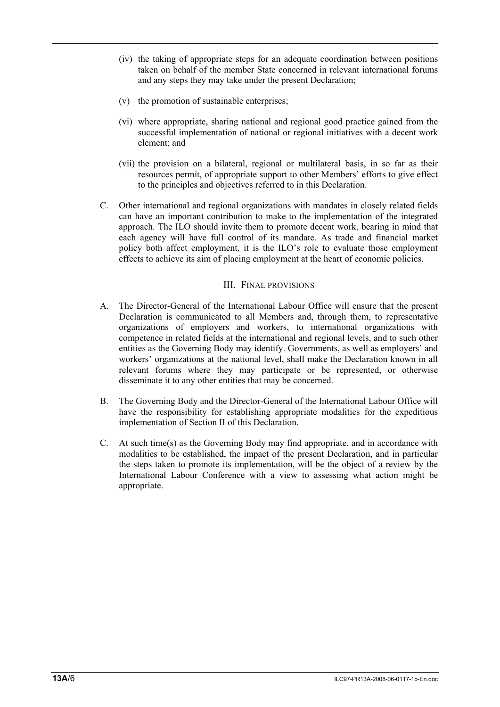- (iv) the taking of appropriate steps for an adequate coordination between positions taken on behalf of the member State concerned in relevant international forums and any steps they may take under the present Declaration;
- (v) the promotion of sustainable enterprises;
- (vi) where appropriate, sharing national and regional good practice gained from the successful implementation of national or regional initiatives with a decent work element; and
- (vii) the provision on a bilateral, regional or multilateral basis, in so far as their resources permit, of appropriate support to other Members' efforts to give effect to the principles and objectives referred to in this Declaration.
- C. Other international and regional organizations with mandates in closely related fields can have an important contribution to make to the implementation of the integrated approach. The ILO should invite them to promote decent work, bearing in mind that each agency will have full control of its mandate. As trade and financial market policy both affect employment, it is the ILO's role to evaluate those employment effects to achieve its aim of placing employment at the heart of economic policies.

#### III. FINAL PROVISIONS

- A. The Director-General of the International Labour Office will ensure that the present Declaration is communicated to all Members and, through them, to representative organizations of employers and workers, to international organizations with competence in related fields at the international and regional levels, and to such other entities as the Governing Body may identify. Governments, as well as employers' and workers' organizations at the national level, shall make the Declaration known in all relevant forums where they may participate or be represented, or otherwise disseminate it to any other entities that may be concerned.
- B. The Governing Body and the Director-General of the International Labour Office will have the responsibility for establishing appropriate modalities for the expeditious implementation of Section II of this Declaration.
- C. At such time(s) as the Governing Body may find appropriate, and in accordance with modalities to be established, the impact of the present Declaration, and in particular the steps taken to promote its implementation, will be the object of a review by the International Labour Conference with a view to assessing what action might be appropriate.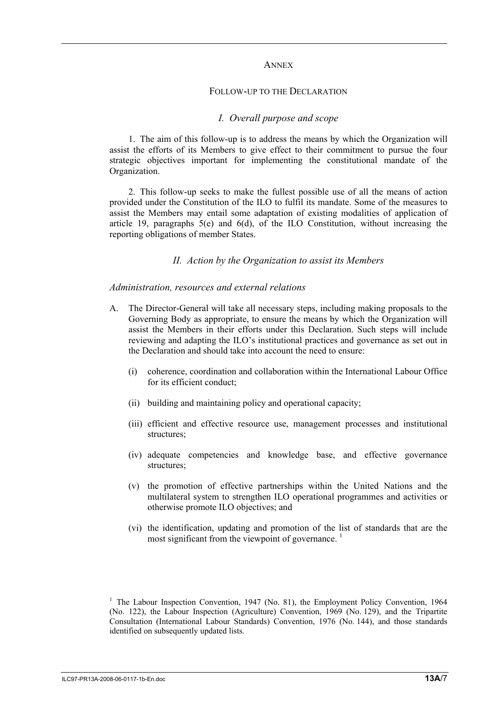#### **ANNEX**

#### FOLLOW-UP TO THE DECLARATION

#### *I. Overall purpose and scope*

1. The aim of this follow-up is to address the means by which the Organization will assist the efforts of its Members to give effect to their commitment to pursue the four strategic objectives important for implementing the constitutional mandate of the Organization.

2. This follow-up seeks to make the fullest possible use of all the means of action provided under the Constitution of the ILO to fulfil its mandate. Some of the measures to assist the Members may entail some adaptation of existing modalities of application of article 19, paragraphs  $5(e)$  and  $6(d)$ , of the ILO Constitution, without increasing the reporting obligations of member States.

#### *II. Action by the Organization to assist its Members*

### *Administration, resources and external relations*

- A. The Director-General will take all necessary steps, including making proposals to the Governing Body as appropriate, to ensure the means by which the Organization will assist the Members in their efforts under this Declaration. Such steps will include reviewing and adapting the ILO's institutional practices and governance as set out in the Declaration and should take into account the need to ensure:
	- (i) coherence, coordination and collaboration within the International Labour Office for its efficient conduct;
	- (ii) building and maintaining policy and operational capacity;
	- (iii) efficient and effective resource use, management processes and institutional structures:
	- (iv) adequate competencies and knowledge base, and effective governance structures;
	- (v) the promotion of effective partnerships within the United Nations and the multilateral system to strengthen ILO operational programmes and activities or otherwise promote ILO objectives; and
	- (vi) the identification, updating and promotion of the list of standards that are the most significant from the viewpoint of governance.<sup>1</sup>

<sup>&</sup>lt;sup>1</sup> The Labour Inspection Convention, 1947 (No. 81), the Employment Policy Convention, 1964 (No. 122), the Labour Inspection (Agriculture) Convention, 1969 (No. 129), and the Tripartite Consultation (International Labour Standards) Convention, 1976 (No. 144), and those standards identified on subsequently updated lists.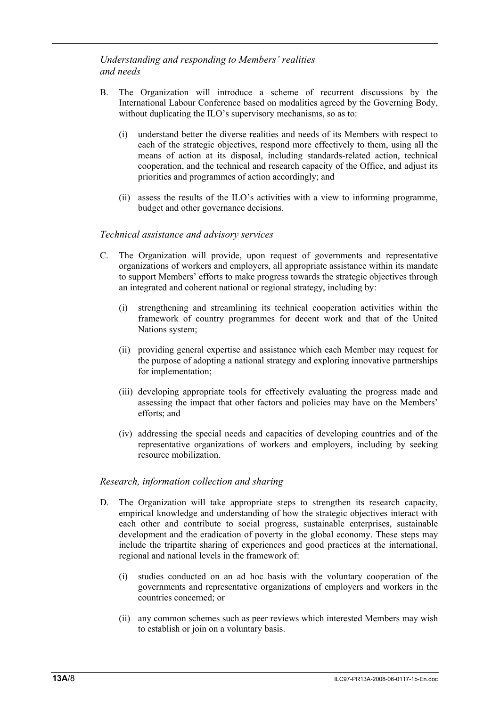## *Understanding and responding to Members' realities and needs*

- B. The Organization will introduce a scheme of recurrent discussions by the International Labour Conference based on modalities agreed by the Governing Body, without duplicating the ILO's supervisory mechanisms, so as to:
	- (i) understand better the diverse realities and needs of its Members with respect to each of the strategic objectives, respond more effectively to them, using all the means of action at its disposal, including standards-related action, technical cooperation, and the technical and research capacity of the Office, and adjust its priorities and programmes of action accordingly; and
	- (ii) assess the results of the ILO's activities with a view to informing programme, budget and other governance decisions.

## *Technical assistance and advisory services*

- C. The Organization will provide, upon request of governments and representative organizations of workers and employers, all appropriate assistance within its mandate to support Members' efforts to make progress towards the strategic objectives through an integrated and coherent national or regional strategy, including by:
	- (i) strengthening and streamlining its technical cooperation activities within the framework of country programmes for decent work and that of the United Nations system;
	- (ii) providing general expertise and assistance which each Member may request for the purpose of adopting a national strategy and exploring innovative partnerships for implementation;
	- (iii) developing appropriate tools for effectively evaluating the progress made and assessing the impact that other factors and policies may have on the Members' efforts; and
	- (iv) addressing the special needs and capacities of developing countries and of the representative organizations of workers and employers, including by seeking resource mobilization.

### *Research, information collection and sharing*

- D. The Organization will take appropriate steps to strengthen its research capacity, empirical knowledge and understanding of how the strategic objectives interact with each other and contribute to social progress, sustainable enterprises, sustainable development and the eradication of poverty in the global economy. These steps may include the tripartite sharing of experiences and good practices at the international, regional and national levels in the framework of:
	- (i) studies conducted on an ad hoc basis with the voluntary cooperation of the governments and representative organizations of employers and workers in the countries concerned; or
	- (ii) any common schemes such as peer reviews which interested Members may wish to establish or join on a voluntary basis.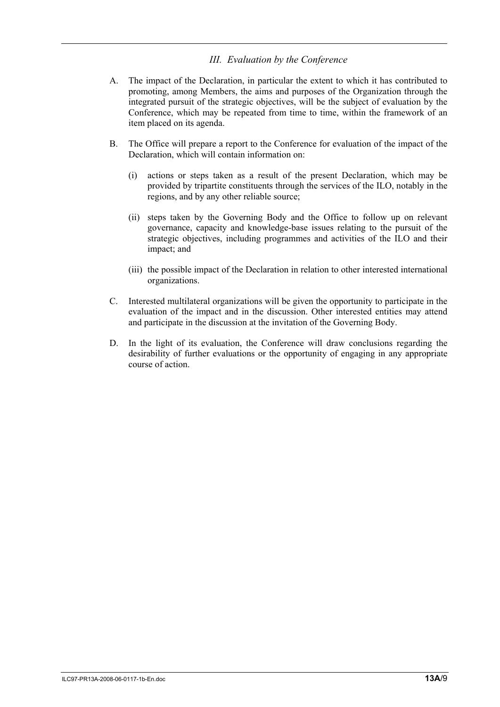## *III. Evaluation by the Conference*

- A. The impact of the Declaration, in particular the extent to which it has contributed to promoting, among Members, the aims and purposes of the Organization through the integrated pursuit of the strategic objectives, will be the subject of evaluation by the Conference, which may be repeated from time to time, within the framework of an item placed on its agenda.
- B. The Office will prepare a report to the Conference for evaluation of the impact of the Declaration, which will contain information on:
	- (i) actions or steps taken as a result of the present Declaration, which may be provided by tripartite constituents through the services of the ILO, notably in the regions, and by any other reliable source;
	- (ii) steps taken by the Governing Body and the Office to follow up on relevant governance, capacity and knowledge-base issues relating to the pursuit of the strategic objectives, including programmes and activities of the ILO and their impact; and
	- (iii) the possible impact of the Declaration in relation to other interested international organizations.
- C. Interested multilateral organizations will be given the opportunity to participate in the evaluation of the impact and in the discussion. Other interested entities may attend and participate in the discussion at the invitation of the Governing Body.
- D. In the light of its evaluation, the Conference will draw conclusions regarding the desirability of further evaluations or the opportunity of engaging in any appropriate course of action.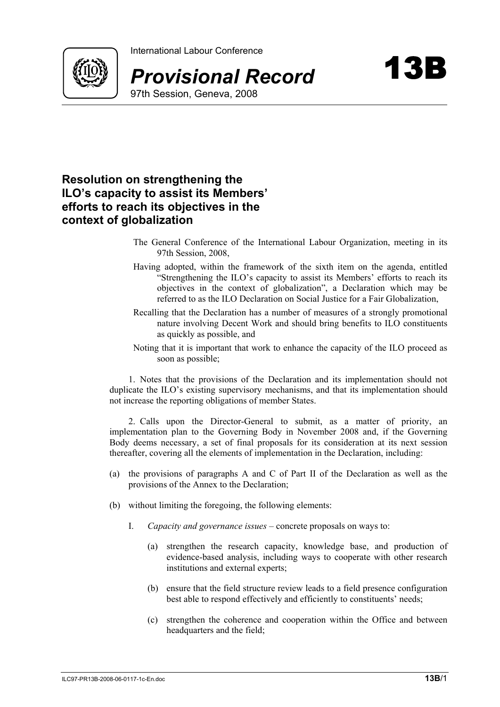



*Provisional Record* 13B 97th Session, Geneva, 2008

# **Resolution on strengthening the ILO's capacity to assist its Members' efforts to reach its objectives in the context of globalization**

- The General Conference of the International Labour Organization, meeting in its 97th Session, 2008,
- Having adopted, within the framework of the sixth item on the agenda, entitled "Strengthening the ILO's capacity to assist its Members' efforts to reach its objectives in the context of globalization", a Declaration which may be referred to as the ILO Declaration on Social Justice for a Fair Globalization,
- Recalling that the Declaration has a number of measures of a strongly promotional nature involving Decent Work and should bring benefits to ILO constituents as quickly as possible, and
- Noting that it is important that work to enhance the capacity of the ILO proceed as soon as possible;

1. Notes that the provisions of the Declaration and its implementation should not duplicate the ILO's existing supervisory mechanisms, and that its implementation should not increase the reporting obligations of member States.

2. Calls upon the Director-General to submit, as a matter of priority, an implementation plan to the Governing Body in November 2008 and, if the Governing Body deems necessary, a set of final proposals for its consideration at its next session thereafter, covering all the elements of implementation in the Declaration, including:

- (a) the provisions of paragraphs A and C of Part II of the Declaration as well as the provisions of the Annex to the Declaration;
- (b) without limiting the foregoing, the following elements:
	- I. *Capacity and governance issues* concrete proposals on ways to:
		- (a) strengthen the research capacity, knowledge base, and production of evidence-based analysis, including ways to cooperate with other research institutions and external experts;
		- (b) ensure that the field structure review leads to a field presence configuration best able to respond effectively and efficiently to constituents' needs;
		- (c) strengthen the coherence and cooperation within the Office and between headquarters and the field;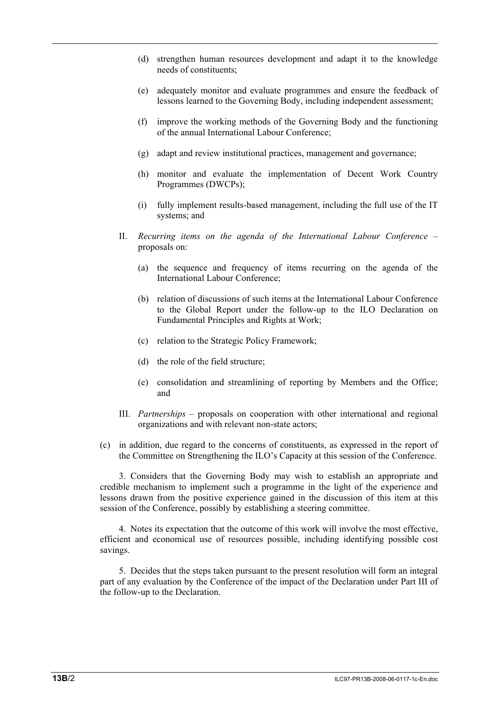- (d) strengthen human resources development and adapt it to the knowledge needs of constituents;
- (e) adequately monitor and evaluate programmes and ensure the feedback of lessons learned to the Governing Body, including independent assessment;
- (f) improve the working methods of the Governing Body and the functioning of the annual International Labour Conference;
- (g) adapt and review institutional practices, management and governance;
- (h) monitor and evaluate the implementation of Decent Work Country Programmes (DWCPs);
- (i) fully implement results-based management, including the full use of the IT systems; and
- II. *Recurring items on the agenda of the International Labour Conference* proposals on:
	- (a) the sequence and frequency of items recurring on the agenda of the International Labour Conference;
	- (b) relation of discussions of such items at the International Labour Conference to the Global Report under the follow-up to the ILO Declaration on Fundamental Principles and Rights at Work;
	- (c) relation to the Strategic Policy Framework;
	- (d) the role of the field structure;
	- (e) consolidation and streamlining of reporting by Members and the Office; and
- III. *Partnerships* proposals on cooperation with other international and regional organizations and with relevant non-state actors;
- (c) in addition, due regard to the concerns of constituents, as expressed in the report of the Committee on Strengthening the ILO's Capacity at this session of the Conference.

3. Considers that the Governing Body may wish to establish an appropriate and credible mechanism to implement such a programme in the light of the experience and lessons drawn from the positive experience gained in the discussion of this item at this session of the Conference, possibly by establishing a steering committee.

4. Notes its expectation that the outcome of this work will involve the most effective, efficient and economical use of resources possible, including identifying possible cost savings.

5. Decides that the steps taken pursuant to the present resolution will form an integral part of any evaluation by the Conference of the impact of the Declaration under Part III of the follow-up to the Declaration.